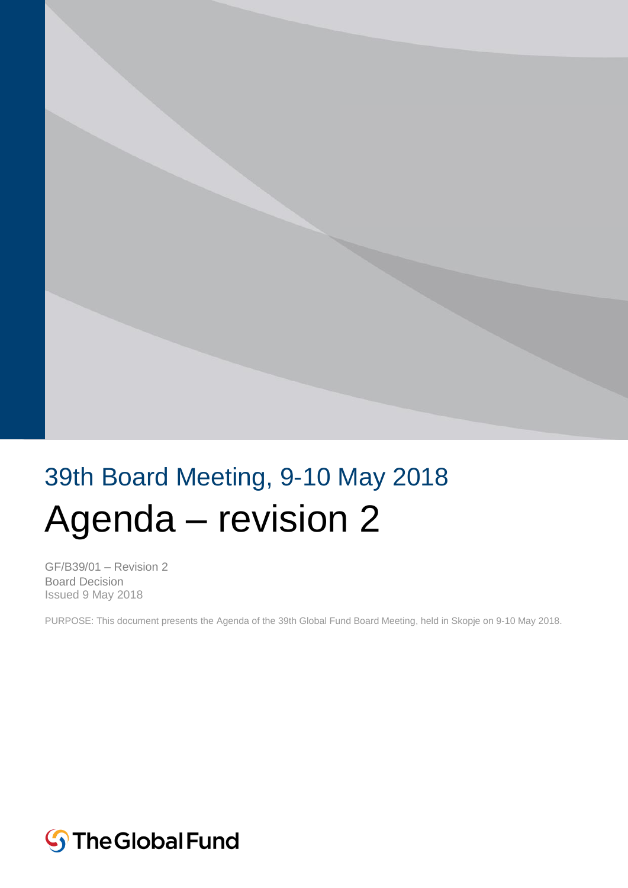

# 39th Board Meeting, 9-10 May 2018 Agenda – revision 2

GF/B39/01 – Revision 2 Board Decision Issued 9 May 2018

PURPOSE: This document presents the Agenda of the 39th Global Fund Board Meeting, held in Skopje on 9-10 May 2018.

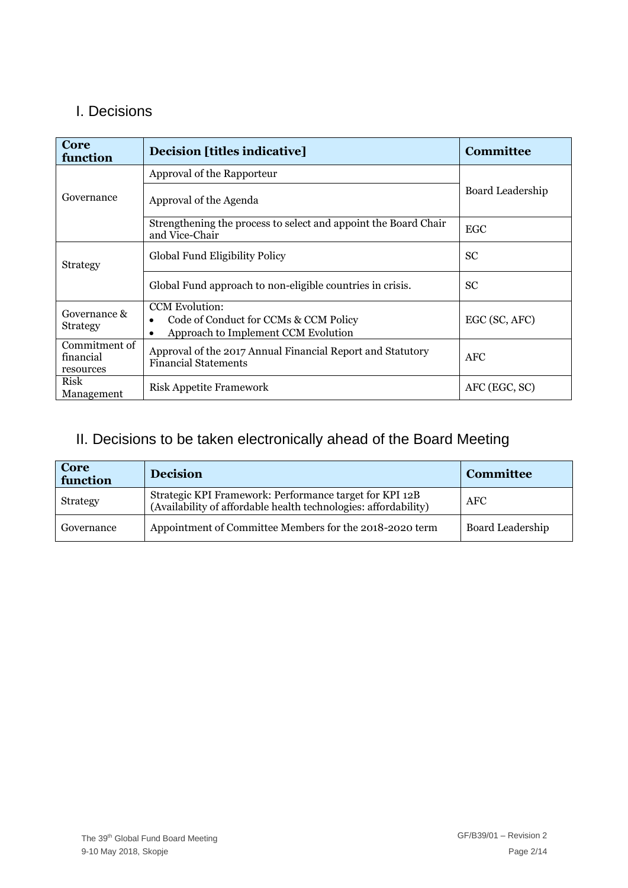### I. Decisions

| Core<br>function                        | <b>Decision [titles indicative]</b>                                                                                | <b>Committee</b> |
|-----------------------------------------|--------------------------------------------------------------------------------------------------------------------|------------------|
|                                         | Approval of the Rapporteur                                                                                         |                  |
| Governance                              | Approval of the Agenda                                                                                             | Board Leadership |
|                                         | Strengthening the process to select and appoint the Board Chair<br>and Vice-Chair                                  | <b>EGC</b>       |
| <b>Strategy</b>                         | Global Fund Eligibility Policy                                                                                     | <b>SC</b>        |
|                                         | Global Fund approach to non-eligible countries in crisis.                                                          | <b>SC</b>        |
| Governance &<br><b>Strategy</b>         | <b>CCM</b> Evolution:<br>Code of Conduct for CCMs & CCM Policy<br>Approach to Implement CCM Evolution<br>$\bullet$ | EGC (SC, AFC)    |
| Commitment of<br>financial<br>resources | Approval of the 2017 Annual Financial Report and Statutory<br><b>Financial Statements</b>                          | <b>AFC</b>       |
| Risk<br>Management                      | <b>Risk Appetite Framework</b>                                                                                     | AFC (EGC, SC)    |

### II. Decisions to be taken electronically ahead of the Board Meeting

| <b>Core</b><br>function | <b>Decision</b>                                                                                                            | <b>Committee</b> |
|-------------------------|----------------------------------------------------------------------------------------------------------------------------|------------------|
| <b>Strategy</b>         | Strategic KPI Framework: Performance target for KPI 12B<br>(Availability of affordable health technologies: affordability) | <b>AFC</b>       |
| Governance              | Appointment of Committee Members for the 2018-2020 term                                                                    | Board Leadership |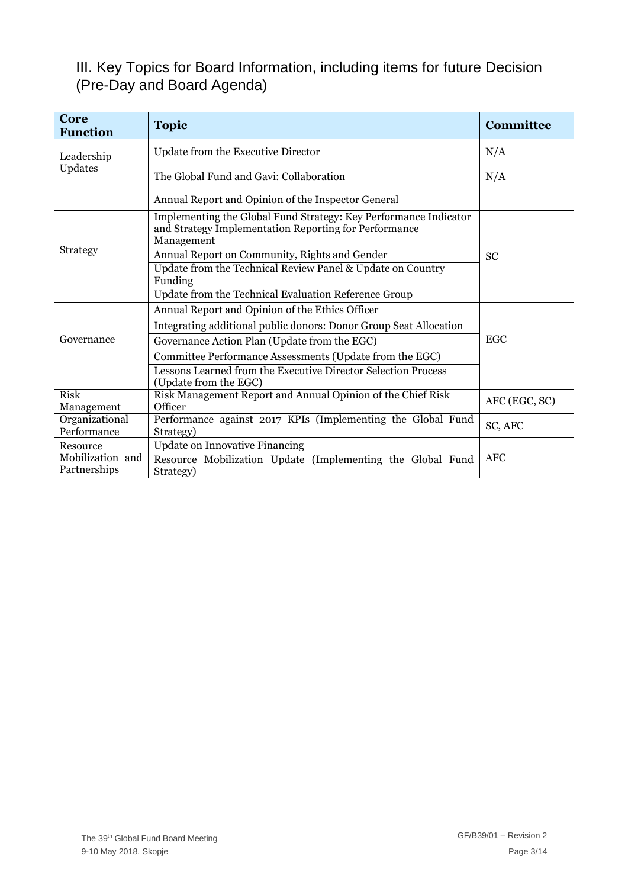### III. Key Topics for Board Information, including items for future Decision (Pre-Day and Board Agenda)

| Core<br><b>Function</b>          | <b>Topic</b>                                                                                                                            | <b>Committee</b> |
|----------------------------------|-----------------------------------------------------------------------------------------------------------------------------------------|------------------|
| Leadership                       | Update from the Executive Director                                                                                                      | N/A              |
| Updates                          | The Global Fund and Gavi: Collaboration                                                                                                 | N/A              |
|                                  | Annual Report and Opinion of the Inspector General                                                                                      |                  |
|                                  | Implementing the Global Fund Strategy: Key Performance Indicator<br>and Strategy Implementation Reporting for Performance<br>Management |                  |
| <b>Strategy</b>                  | Annual Report on Community, Rights and Gender                                                                                           | <b>SC</b>        |
|                                  | Update from the Technical Review Panel & Update on Country<br>Funding                                                                   |                  |
|                                  | Update from the Technical Evaluation Reference Group                                                                                    |                  |
|                                  | Annual Report and Opinion of the Ethics Officer                                                                                         |                  |
|                                  | Integrating additional public donors: Donor Group Seat Allocation                                                                       |                  |
| Governance                       | Governance Action Plan (Update from the EGC)                                                                                            | EGC              |
|                                  | Committee Performance Assessments (Update from the EGC)                                                                                 |                  |
|                                  | Lessons Learned from the Executive Director Selection Process<br>(Update from the EGC)                                                  |                  |
| <b>Risk</b>                      | Risk Management Report and Annual Opinion of the Chief Risk                                                                             | AFC (EGC, SC)    |
| Management                       | Officer                                                                                                                                 |                  |
| Organizational<br>Performance    | Performance against 2017 KPIs (Implementing the Global Fund<br>Strategy)                                                                | SC, AFC          |
| Resource                         | <b>Update on Innovative Financing</b>                                                                                                   |                  |
| Mobilization and<br>Partnerships | Resource Mobilization Update (Implementing the Global Fund<br>Strategy)                                                                 | <b>AFC</b>       |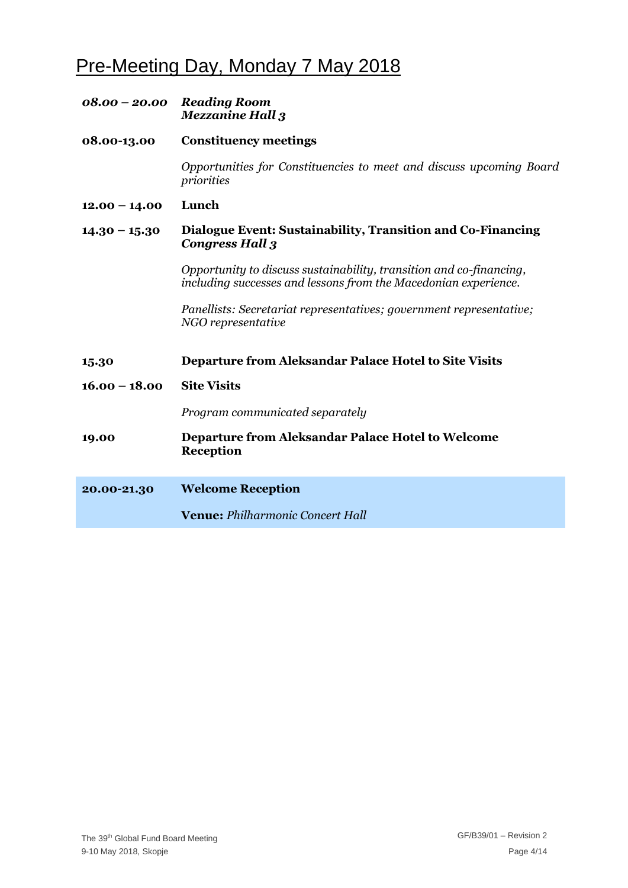# Pre-Meeting Day, Monday 7 May 2018

|                 | 08.00 - 20.00 Reading Room<br><b>Mezzanine Hall 3</b>                                                                                  |
|-----------------|----------------------------------------------------------------------------------------------------------------------------------------|
| 08.00-13.00     | <b>Constituency meetings</b>                                                                                                           |
|                 | Opportunities for Constituencies to meet and discuss upcoming Board<br>priorities                                                      |
| $12.00 - 14.00$ | Lunch                                                                                                                                  |
| $14.30 - 15.30$ | Dialogue Event: Sustainability, Transition and Co-Financing<br><b>Congress Hall 3</b>                                                  |
|                 | Opportunity to discuss sustainability, transition and co-financing,<br>including successes and lessons from the Macedonian experience. |
|                 | Panellists: Secretariat representatives; government representative;<br>NGO representative                                              |
| 15.30           | Departure from Aleksandar Palace Hotel to Site Visits                                                                                  |
| $16.00 - 18.00$ | <b>Site Visits</b>                                                                                                                     |
|                 | Program communicated separately                                                                                                        |
| 19.00           | <b>Departure from Aleksandar Palace Hotel to Welcome</b><br><b>Reception</b>                                                           |
| 20.00-21.30     | <b>Welcome Reception</b>                                                                                                               |
|                 | Venue: Philharmonic Concert Hall                                                                                                       |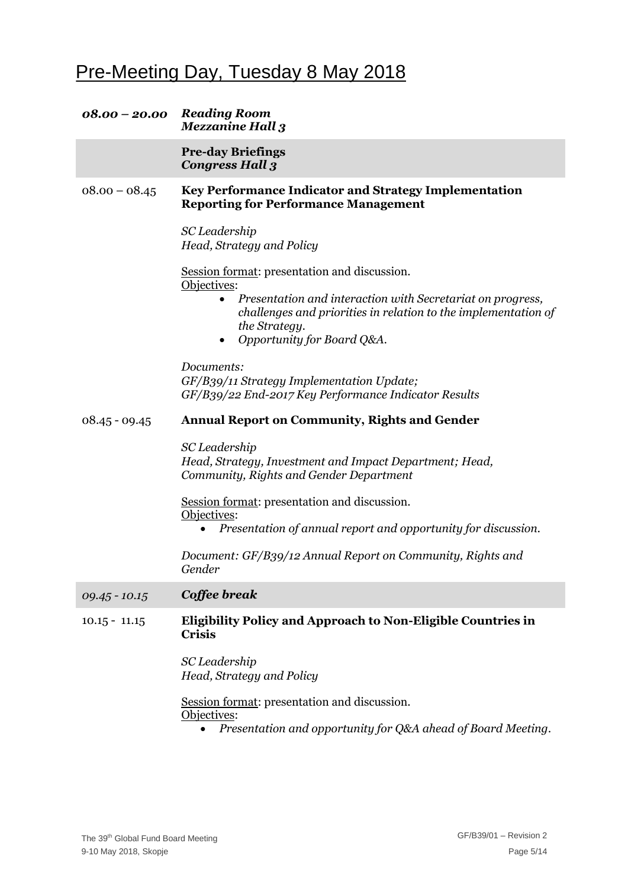# Pre-Meeting Day, Tuesday 8 May 2018

| 08.00 - 20.00 Reading Room | <b>Mezzanine Hall 3</b>                                                                                                                                                                               |
|----------------------------|-------------------------------------------------------------------------------------------------------------------------------------------------------------------------------------------------------|
|                            | <b>Pre-day Briefings</b><br><b>Congress Hall 3</b>                                                                                                                                                    |
| $08.00 - 08.45$            | Key Performance Indicator and Strategy Implementation<br><b>Reporting for Performance Management</b>                                                                                                  |
|                            | SC Leadership<br>Head, Strategy and Policy                                                                                                                                                            |
|                            | Session format: presentation and discussion.<br>Objectives:                                                                                                                                           |
|                            | Presentation and interaction with Secretariat on progress,<br>$\bullet$<br>challenges and priorities in relation to the implementation of<br>the Strategy.<br>Opportunity for Board Q&A.<br>$\bullet$ |
|                            | Documents:                                                                                                                                                                                            |
|                            | GF/B39/11 Strategy Implementation Update;<br>GF/B39/22 End-2017 Key Performance Indicator Results                                                                                                     |
| $08.45 - 09.45$            | <b>Annual Report on Community, Rights and Gender</b>                                                                                                                                                  |
|                            | SC Leadership<br>Head, Strategy, Investment and Impact Department; Head,<br>Community, Rights and Gender Department                                                                                   |
|                            | Session format: presentation and discussion.<br>Objectives:                                                                                                                                           |
|                            | Presentation of annual report and opportunity for discussion.<br>$\bullet$                                                                                                                            |
|                            | Document: GF/B39/12 Annual Report on Community, Rights and<br>Gender                                                                                                                                  |
| $09.45 - 10.15$            | Coffee break                                                                                                                                                                                          |
| $10.15 - 11.15$            | Eligibility Policy and Approach to Non-Eligible Countries in<br><b>Crisis</b>                                                                                                                         |
|                            | SC Leadership<br>Head, Strategy and Policy                                                                                                                                                            |
|                            | Session format: presentation and discussion.<br>Objectives:<br>Presentation and opportunity for Q&A ahead of Board Meeting.                                                                           |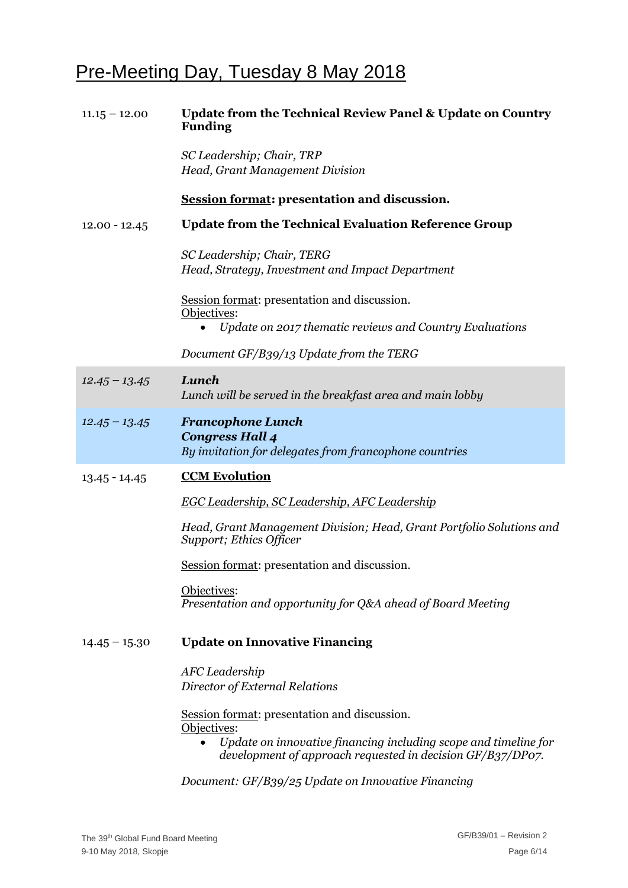# Pre-Meeting Day, Tuesday 8 May 2018

| $11.15 - 12.00$ | <b>Update from the Technical Review Panel &amp; Update on Country</b><br><b>Funding</b>                                                                                                           |
|-----------------|---------------------------------------------------------------------------------------------------------------------------------------------------------------------------------------------------|
|                 | SC Leadership; Chair, TRP<br>Head, Grant Management Division                                                                                                                                      |
|                 | <b>Session format: presentation and discussion.</b>                                                                                                                                               |
| $12.00 - 12.45$ | <b>Update from the Technical Evaluation Reference Group</b>                                                                                                                                       |
|                 | SC Leadership; Chair, TERG<br>Head, Strategy, Investment and Impact Department                                                                                                                    |
|                 | Session format: presentation and discussion.<br>Objectives:<br>Update on 2017 thematic reviews and Country Evaluations<br>$\bullet$                                                               |
|                 | Document GF/B39/13 Update from the TERG                                                                                                                                                           |
| $12.45 - 13.45$ | Lunch<br>Lunch will be served in the breakfast area and main lobby                                                                                                                                |
| $12.45 - 13.45$ | <b>Francophone Lunch</b><br><b>Congress Hall 4</b><br>By invitation for delegates from francophone countries                                                                                      |
| $13.45 - 14.45$ | <b>CCM Evolution</b>                                                                                                                                                                              |
|                 | <b>EGC Leadership, SC Leadership, AFC Leadership</b>                                                                                                                                              |
|                 | Head, Grant Management Division; Head, Grant Portfolio Solutions and<br>Support; Ethics Officer                                                                                                   |
|                 | Session format: presentation and discussion.                                                                                                                                                      |
|                 | Objectives:<br>Presentation and opportunity for Q&A ahead of Board Meeting                                                                                                                        |
| $14.45 - 15.30$ | <b>Update on Innovative Financing</b>                                                                                                                                                             |
|                 | AFC Leadership<br>Director of External Relations                                                                                                                                                  |
|                 | Session format: presentation and discussion.<br>Objectives:<br>Update on innovative financing including scope and timeline for<br>٠<br>development of approach requested in decision GF/B37/DP07. |

*Document: GF/B39/25 Update on Innovative Financing*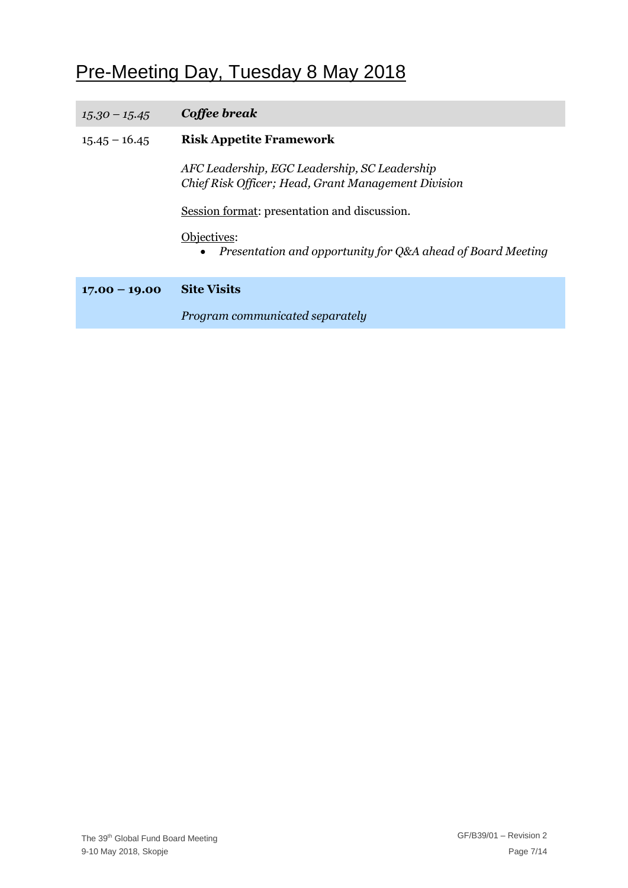# Pre-Meeting Day, Tuesday 8 May 2018

| $15.30 - 15.45$ | Coffee break                                                                                         |
|-----------------|------------------------------------------------------------------------------------------------------|
| $15.45 - 16.45$ | <b>Risk Appetite Framework</b>                                                                       |
|                 | AFC Leadership, EGC Leadership, SC Leadership<br>Chief Risk Officer; Head, Grant Management Division |
|                 | Session format: presentation and discussion.                                                         |
|                 | Objectives:<br>• Presentation and opportunity for Q&A ahead of Board Meeting                         |
| $17.00 - 19.00$ | <b>Site Visits</b>                                                                                   |
|                 | Program communicated separately                                                                      |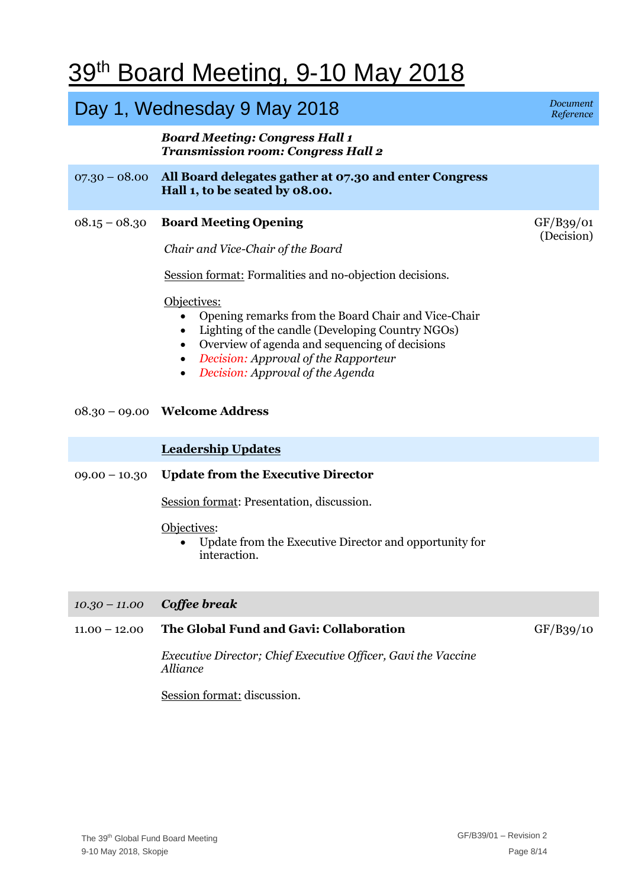# 39<sup>th</sup> Board Meeting, 9-10 May 2018

## Day 1, Wednesday 9 May 2018 **Day 1, Wednesday 9 May 2018**

#### *Board Meeting: Congress Hall 1 Transmission room: Congress Hall 2*

- 07.30 08.00 **All Board delegates gather at 07.30 and enter Congress Hall 1, to be seated by 08.00.**
- 08.15 08.30 **Board Meeting Opening**

*Chair and Vice-Chair of the Board*

Session format: Formalities and no-objection decisions.

#### Objectives:

- Opening remarks from the Board Chair and Vice-Chair
- Lighting of the candle (Developing Country NGOs)
- Overview of agenda and sequencing of decisions
- *Decision: Approval of the Rapporteur*
- *Decision: Approval of the Agenda*

#### 08.30 – 09.00 **Welcome Address**

#### **Leadership Updates**

#### 09.00 – 10.30 **Update from the Executive Director**

Session format: Presentation, discussion.

#### Objectives:

 Update from the Executive Director and opportunity for interaction.

#### *10.30 – 11.00 Coffee break*

#### 11.00 – 12.00 **The Global Fund and Gavi: Collaboration**

GF/B39/10

*Executive Director; Chief Executive Officer, Gavi the Vaccine Alliance*

Session format: discussion.

*Reference*

GF/B39/01 (Decision)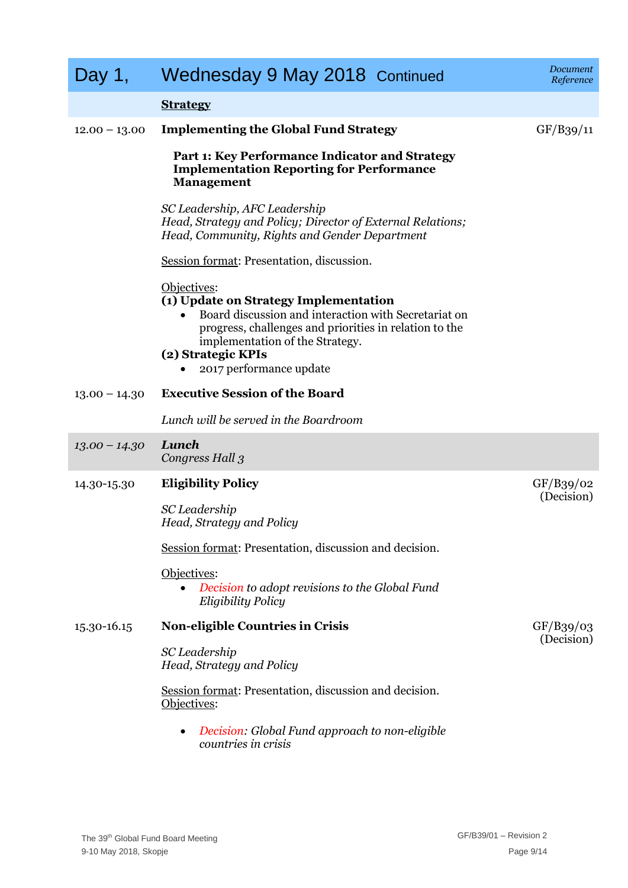| Day 1,          | Wednesday 9 May 2018 Continued                                                                                                                                                                                                                             | Document<br>Reference   |
|-----------------|------------------------------------------------------------------------------------------------------------------------------------------------------------------------------------------------------------------------------------------------------------|-------------------------|
|                 | <b>Strategy</b>                                                                                                                                                                                                                                            |                         |
| $12.00 - 13.00$ | <b>Implementing the Global Fund Strategy</b>                                                                                                                                                                                                               | GF/B39/11               |
|                 | Part 1: Key Performance Indicator and Strategy<br><b>Implementation Reporting for Performance</b><br><b>Management</b>                                                                                                                                     |                         |
|                 | SC Leadership, AFC Leadership<br>Head, Strategy and Policy; Director of External Relations;<br>Head, Community, Rights and Gender Department                                                                                                               |                         |
|                 | Session format: Presentation, discussion.                                                                                                                                                                                                                  |                         |
|                 | Objectives:<br>(1) Update on Strategy Implementation<br>Board discussion and interaction with Secretariat on<br>progress, challenges and priorities in relation to the<br>implementation of the Strategy.<br>(2) Strategic KPIs<br>2017 performance update |                         |
| $13.00 - 14.30$ | <b>Executive Session of the Board</b>                                                                                                                                                                                                                      |                         |
|                 | Lunch will be served in the Boardroom                                                                                                                                                                                                                      |                         |
| $13.00 - 14.30$ | Lunch<br>Congress Hall 3                                                                                                                                                                                                                                   |                         |
| 14.30-15.30     | <b>Eligibility Policy</b>                                                                                                                                                                                                                                  | GF/B39/02<br>(Decision) |
|                 | SC Leadership<br>Head, Strategy and Policy                                                                                                                                                                                                                 |                         |
|                 | Session format: Presentation, discussion and decision.                                                                                                                                                                                                     |                         |
|                 | Objectives:<br>Decision to adopt revisions to the Global Fund<br><b>Eligibility Policy</b>                                                                                                                                                                 |                         |
| 15.30-16.15     | <b>Non-eligible Countries in Crisis</b>                                                                                                                                                                                                                    | GF/B39/03<br>(Decision) |
|                 | SC Leadership<br>Head, Strategy and Policy                                                                                                                                                                                                                 |                         |
|                 | Session format: Presentation, discussion and decision.<br>Objectives:                                                                                                                                                                                      |                         |
|                 | Decision: Global Fund approach to non-eligible<br>$\bullet$<br>countries in crisis                                                                                                                                                                         |                         |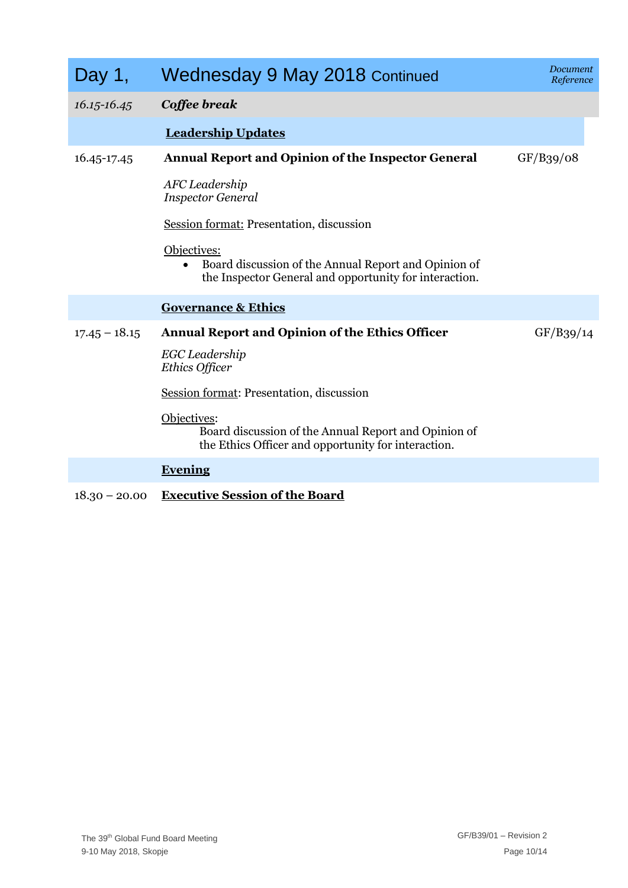| Day 1,          | Wednesday 9 May 2018 Continued                                                                                                             | Document<br>Reference |
|-----------------|--------------------------------------------------------------------------------------------------------------------------------------------|-----------------------|
| 16.15-16.45     | Coffee break                                                                                                                               |                       |
|                 | <b>Leadership Updates</b>                                                                                                                  |                       |
| 16.45-17.45     | <b>Annual Report and Opinion of the Inspector General</b>                                                                                  | GF/B39/08             |
|                 | AFC Leadership<br><b>Inspector General</b>                                                                                                 |                       |
|                 | Session format: Presentation, discussion                                                                                                   |                       |
|                 | Objectives:<br>Board discussion of the Annual Report and Opinion of<br>$\bullet$<br>the Inspector General and opportunity for interaction. |                       |
|                 | <b>Governance &amp; Ethics</b>                                                                                                             |                       |
| $17.45 - 18.15$ | <b>Annual Report and Opinion of the Ethics Officer</b><br>EGC Leadership<br>Ethics Officer                                                 | GF/B39/14             |
|                 | Session format: Presentation, discussion                                                                                                   |                       |
|                 | Objectives:<br>Board discussion of the Annual Report and Opinion of<br>the Ethics Officer and opportunity for interaction.                 |                       |
|                 | <b>Evening</b>                                                                                                                             |                       |
|                 | $\mathbf{F}_{\text{max}}$ and $\mathbf{G}_{\text{max}}$ and $\mathbf{G}_{\text{max}}$ and $\mathbf{G}_{\text{max}}$                        |                       |

18.30 – 20.00 **Executive Session of the Board**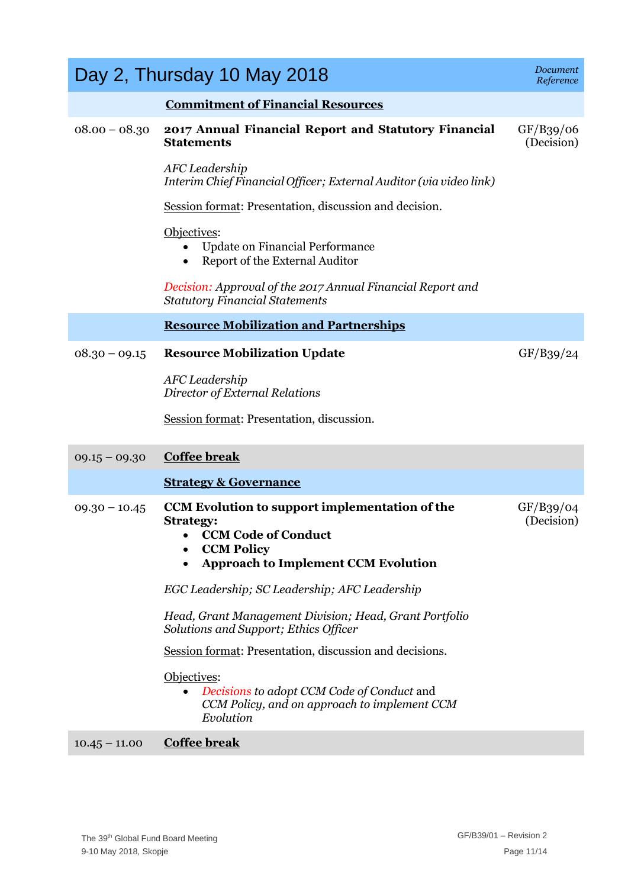| <b>Commitment of Financial Resources</b><br>2017 Annual Financial Report and Statutory Financial<br>$08.00 - 08.30$<br>GF/B39/06<br>(Decision)<br><b>Statements</b><br>AFC Leadership<br>Interim Chief Financial Officer; External Auditor (via video link)<br>Session format: Presentation, discussion and decision.<br>Objectives:<br>Update on Financial Performance<br>Report of the External Auditor<br>Decision: Approval of the 2017 Annual Financial Report and<br><b>Statutory Financial Statements</b><br><b>Resource Mobilization and Partnerships</b><br><b>Resource Mobilization Update</b><br>GF/B39/24<br>$08.30 - 09.15$<br>AFC Leadership<br>Director of External Relations<br>Session format: Presentation, discussion.<br><b>Coffee break</b><br>$09.15 - 09.30$<br><b>Strategy &amp; Governance</b><br>CCM Evolution to support implementation of the<br>GF/B39/04<br>$09.30 - 10.45$<br>(Decision)<br><b>Strategy:</b><br><b>CCM Code of Conduct</b><br><b>CCM Policy</b><br><b>Approach to Implement CCM Evolution</b><br>EGC Leadership; SC Leadership; AFC Leadership<br>Head, Grant Management Division; Head, Grant Portfolio<br>Solutions and Support; Ethics Officer<br>Session format: Presentation, discussion and decisions.<br>Objectives:<br>Decisions to adopt CCM Code of Conduct and<br>CCM Policy, and on approach to implement CCM | Day 2, Thursday 10 May 2018 | Document<br>Reference |
|--------------------------------------------------------------------------------------------------------------------------------------------------------------------------------------------------------------------------------------------------------------------------------------------------------------------------------------------------------------------------------------------------------------------------------------------------------------------------------------------------------------------------------------------------------------------------------------------------------------------------------------------------------------------------------------------------------------------------------------------------------------------------------------------------------------------------------------------------------------------------------------------------------------------------------------------------------------------------------------------------------------------------------------------------------------------------------------------------------------------------------------------------------------------------------------------------------------------------------------------------------------------------------------------------------------------------------------------------------------------------|-----------------------------|-----------------------|
|                                                                                                                                                                                                                                                                                                                                                                                                                                                                                                                                                                                                                                                                                                                                                                                                                                                                                                                                                                                                                                                                                                                                                                                                                                                                                                                                                                          |                             |                       |
|                                                                                                                                                                                                                                                                                                                                                                                                                                                                                                                                                                                                                                                                                                                                                                                                                                                                                                                                                                                                                                                                                                                                                                                                                                                                                                                                                                          |                             |                       |
|                                                                                                                                                                                                                                                                                                                                                                                                                                                                                                                                                                                                                                                                                                                                                                                                                                                                                                                                                                                                                                                                                                                                                                                                                                                                                                                                                                          |                             |                       |
|                                                                                                                                                                                                                                                                                                                                                                                                                                                                                                                                                                                                                                                                                                                                                                                                                                                                                                                                                                                                                                                                                                                                                                                                                                                                                                                                                                          |                             |                       |
|                                                                                                                                                                                                                                                                                                                                                                                                                                                                                                                                                                                                                                                                                                                                                                                                                                                                                                                                                                                                                                                                                                                                                                                                                                                                                                                                                                          |                             |                       |
|                                                                                                                                                                                                                                                                                                                                                                                                                                                                                                                                                                                                                                                                                                                                                                                                                                                                                                                                                                                                                                                                                                                                                                                                                                                                                                                                                                          |                             |                       |
|                                                                                                                                                                                                                                                                                                                                                                                                                                                                                                                                                                                                                                                                                                                                                                                                                                                                                                                                                                                                                                                                                                                                                                                                                                                                                                                                                                          |                             |                       |
|                                                                                                                                                                                                                                                                                                                                                                                                                                                                                                                                                                                                                                                                                                                                                                                                                                                                                                                                                                                                                                                                                                                                                                                                                                                                                                                                                                          |                             |                       |
|                                                                                                                                                                                                                                                                                                                                                                                                                                                                                                                                                                                                                                                                                                                                                                                                                                                                                                                                                                                                                                                                                                                                                                                                                                                                                                                                                                          |                             |                       |
|                                                                                                                                                                                                                                                                                                                                                                                                                                                                                                                                                                                                                                                                                                                                                                                                                                                                                                                                                                                                                                                                                                                                                                                                                                                                                                                                                                          |                             |                       |
|                                                                                                                                                                                                                                                                                                                                                                                                                                                                                                                                                                                                                                                                                                                                                                                                                                                                                                                                                                                                                                                                                                                                                                                                                                                                                                                                                                          |                             |                       |
|                                                                                                                                                                                                                                                                                                                                                                                                                                                                                                                                                                                                                                                                                                                                                                                                                                                                                                                                                                                                                                                                                                                                                                                                                                                                                                                                                                          |                             |                       |
|                                                                                                                                                                                                                                                                                                                                                                                                                                                                                                                                                                                                                                                                                                                                                                                                                                                                                                                                                                                                                                                                                                                                                                                                                                                                                                                                                                          |                             |                       |
|                                                                                                                                                                                                                                                                                                                                                                                                                                                                                                                                                                                                                                                                                                                                                                                                                                                                                                                                                                                                                                                                                                                                                                                                                                                                                                                                                                          |                             |                       |
|                                                                                                                                                                                                                                                                                                                                                                                                                                                                                                                                                                                                                                                                                                                                                                                                                                                                                                                                                                                                                                                                                                                                                                                                                                                                                                                                                                          |                             |                       |
|                                                                                                                                                                                                                                                                                                                                                                                                                                                                                                                                                                                                                                                                                                                                                                                                                                                                                                                                                                                                                                                                                                                                                                                                                                                                                                                                                                          |                             |                       |
|                                                                                                                                                                                                                                                                                                                                                                                                                                                                                                                                                                                                                                                                                                                                                                                                                                                                                                                                                                                                                                                                                                                                                                                                                                                                                                                                                                          | Evolution                   |                       |
| <b>Coffee break</b><br>$10.45 - 11.00$                                                                                                                                                                                                                                                                                                                                                                                                                                                                                                                                                                                                                                                                                                                                                                                                                                                                                                                                                                                                                                                                                                                                                                                                                                                                                                                                   |                             |                       |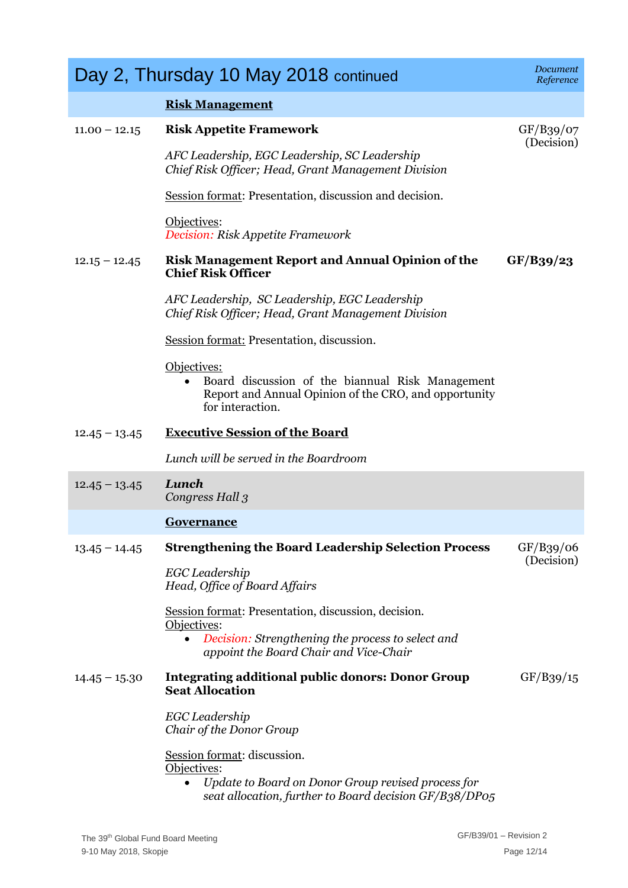|                 | Day 2, Thursday 10 May 2018 continued                                                                                                                      | Document<br>Reference   |
|-----------------|------------------------------------------------------------------------------------------------------------------------------------------------------------|-------------------------|
|                 | <b>Risk Management</b>                                                                                                                                     |                         |
| $11.00 - 12.15$ | <b>Risk Appetite Framework</b>                                                                                                                             | GF/B39/07               |
|                 | AFC Leadership, EGC Leadership, SC Leadership<br>Chief Risk Officer; Head, Grant Management Division                                                       | (Decision)              |
|                 | Session format: Presentation, discussion and decision.                                                                                                     |                         |
|                 | Objectives:<br>Decision: Risk Appetite Framework                                                                                                           |                         |
| $12.15 - 12.45$ | <b>Risk Management Report and Annual Opinion of the</b><br><b>Chief Risk Officer</b>                                                                       | GF/B39/23               |
|                 | AFC Leadership, SC Leadership, EGC Leadership<br>Chief Risk Officer; Head, Grant Management Division                                                       |                         |
|                 | Session format: Presentation, discussion.                                                                                                                  |                         |
|                 | Objectives:<br>Board discussion of the biannual Risk Management<br>Report and Annual Opinion of the CRO, and opportunity<br>for interaction.               |                         |
| $12.45 - 13.45$ | <b>Executive Session of the Board</b>                                                                                                                      |                         |
|                 | Lunch will be served in the Boardroom                                                                                                                      |                         |
| $12.45 - 13.45$ | Lunch<br>Congress Hall 3                                                                                                                                   |                         |
|                 | <b>Governance</b>                                                                                                                                          |                         |
| $13.45 - 14.45$ | <b>Strengthening the Board Leadership Selection Process</b>                                                                                                | GF/B39/06<br>(Decision) |
|                 | EGC Leadership<br>Head, Office of Board Affairs                                                                                                            |                         |
|                 | Session format: Presentation, discussion, decision.<br>Objectives:                                                                                         |                         |
|                 | Decision: Strengthening the process to select and<br>$\bullet$<br>appoint the Board Chair and Vice-Chair                                                   |                         |
| $14.45 - 15.30$ | <b>Integrating additional public donors: Donor Group</b><br><b>Seat Allocation</b>                                                                         | GF/B39/15               |
|                 | EGC Leadership<br>Chair of the Donor Group                                                                                                                 |                         |
|                 | Session format: discussion.<br>Objectives:<br>Update to Board on Donor Group revised process for<br>seat allocation, further to Board decision GF/B38/DP05 |                         |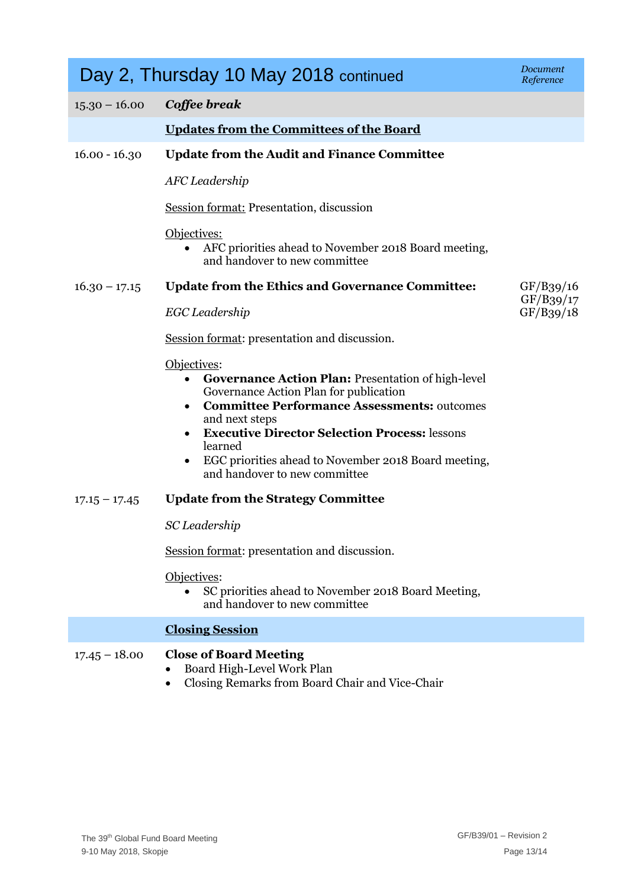|                 | Day 2, Thursday 10 May 2018 continued                                                                                                                                                                                                                                                                                                                                                         | Document<br>Reference  |
|-----------------|-----------------------------------------------------------------------------------------------------------------------------------------------------------------------------------------------------------------------------------------------------------------------------------------------------------------------------------------------------------------------------------------------|------------------------|
| $15.30 - 16.00$ | Coffee break                                                                                                                                                                                                                                                                                                                                                                                  |                        |
|                 | <b>Updates from the Committees of the Board</b>                                                                                                                                                                                                                                                                                                                                               |                        |
| $16.00 - 16.30$ | <b>Update from the Audit and Finance Committee</b>                                                                                                                                                                                                                                                                                                                                            |                        |
|                 | <b>AFC</b> Leadership                                                                                                                                                                                                                                                                                                                                                                         |                        |
|                 | <b>Session format: Presentation, discussion</b>                                                                                                                                                                                                                                                                                                                                               |                        |
|                 | Objectives:<br>AFC priorities ahead to November 2018 Board meeting,<br>$\bullet$<br>and handover to new committee                                                                                                                                                                                                                                                                             |                        |
| $16.30 - 17.15$ | <b>Update from the Ethics and Governance Committee:</b>                                                                                                                                                                                                                                                                                                                                       | GF/B39/16              |
|                 | EGC Leadership                                                                                                                                                                                                                                                                                                                                                                                | GF/B39/17<br>GF/B39/18 |
|                 | Session format: presentation and discussion.                                                                                                                                                                                                                                                                                                                                                  |                        |
|                 | Objectives:<br><b>Governance Action Plan: Presentation of high-level</b><br>$\bullet$<br>Governance Action Plan for publication<br><b>Committee Performance Assessments: outcomes</b><br>$\bullet$<br>and next steps<br><b>Executive Director Selection Process: lessons</b><br>learned<br>EGC priorities ahead to November 2018 Board meeting,<br>$\bullet$<br>and handover to new committee |                        |
| $17.15 - 17.45$ | <b>Update from the Strategy Committee</b>                                                                                                                                                                                                                                                                                                                                                     |                        |
|                 | SC Leadership                                                                                                                                                                                                                                                                                                                                                                                 |                        |
|                 | Session format: presentation and discussion.                                                                                                                                                                                                                                                                                                                                                  |                        |
|                 | Objectives:<br>SC priorities ahead to November 2018 Board Meeting,<br>and handover to new committee                                                                                                                                                                                                                                                                                           |                        |
|                 | <b>Closing Session</b>                                                                                                                                                                                                                                                                                                                                                                        |                        |
| $17.45 - 18.00$ | <b>Close of Board Meeting</b><br>Board High-Level Work Plan<br>Closing Remarks from Board Chair and Vice-Chair                                                                                                                                                                                                                                                                                |                        |